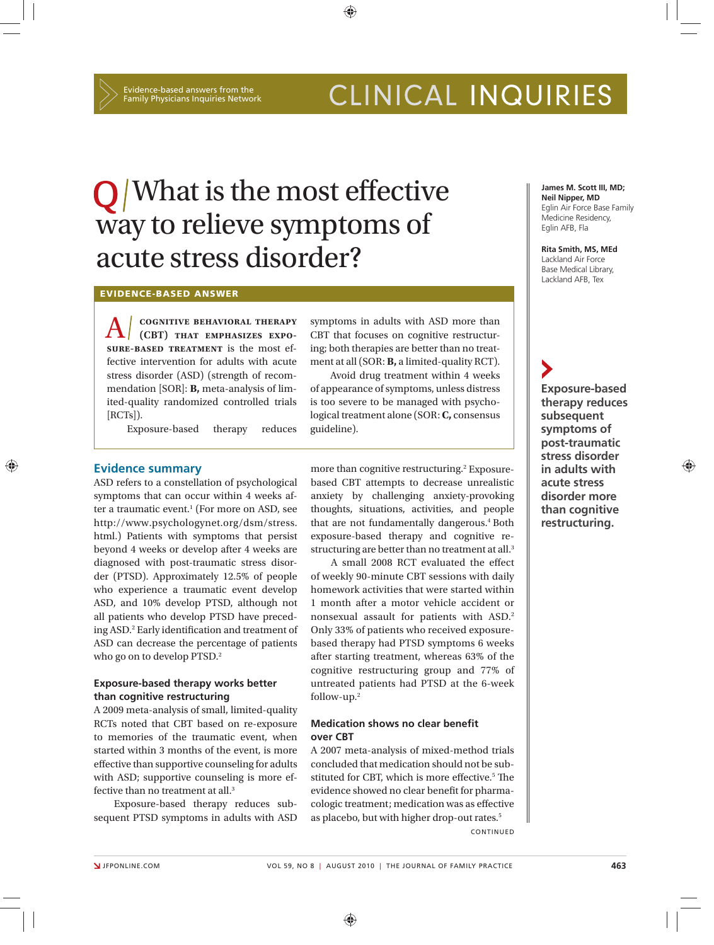# CLINICAL INQUIRIES

# $\mathbf{Q}$  What is the most effective way to relieve symptoms of acute stress disorder?

**EVIDENCE-BASED ANSWER**

A **cognitive behavioral therapy (CBT) that emphasizes exposure-based treatment** is the most effective intervention for adults with acute stress disorder (ASD) (strength of recommendation [SOR]: **B,** meta-analysis of limited-quality randomized controlled trials [RCTs]).

Exposure-based therapy reduces

CBT that focuses on cognitive restructuring; both therapies are better than no treatment at all (SOR: **B,** a limited-quality RCT). Avoid drug treatment within 4 weeks

symptoms in adults with ASD more than

⊕

of appearance of symptoms, unless distress is too severe to be managed with psychological treatment alone (SOR: **C,** consensus guideline).

#### **Evidence summary**

⊕

ASD refers to a constellation of psychological symptoms that can occur within 4 weeks after a traumatic event.1 (For more on ASD, see http://www.psychologynet.org/dsm/stress. html.) Patients with symptoms that persist beyond 4 weeks or develop after 4 weeks are diagnosed with post-traumatic stress disorder (PTSD). Approximately 12.5% of people who experience a traumatic event develop ASD, and 10% develop PTSD, although not all patients who develop PTSD have preceding ASD.<sup>2</sup> Early identification and treatment of ASD can decrease the percentage of patients who go on to develop PTSD.<sup>2</sup>

### **Exposure-based therapy works better than cognitive restructuring**

A 2009 meta-analysis of small, limited-quality RCTs noted that CBT based on re-exposure to memories of the traumatic event, when started within 3 months of the event, is more effective than supportive counseling for adults with ASD; supportive counseling is more effective than no treatment at all.3

Exposure-based therapy reduces subsequent PTSD symptoms in adults with ASD

more than cognitive restructuring.<sup>2</sup> Exposurebased CBT attempts to decrease unrealistic anxiety by challenging anxiety-provoking thoughts, situations, activities, and people that are not fundamentally dangerous.<sup>4</sup> Both exposure-based therapy and cognitive restructuring are better than no treatment at all.<sup>3</sup>

A small 2008 RCT evaluated the effect of weekly 90-minute CBT sessions with daily homework activities that were started within 1 month after a motor vehicle accident or nonsexual assault for patients with ASD.2 Only 33% of patients who received exposurebased therapy had PTSD symptoms 6 weeks after starting treatment, whereas 63% of the cognitive restructuring group and 77% of untreated patients had PTSD at the 6-week follow-up.2

### **Medication shows no clear benefit over CBT**

A 2007 meta-analysis of mixed-method trials concluded that medication should not be substituted for CBT, which is more effective.<sup>5</sup> The evidence showed no clear benefit for pharmacologic treatment; medication was as effective as placebo, but with higher drop-out rates.<sup>5</sup>

CONTINUED

**James M. Scott III, MD; Neil Nipper, MD** Eglin Air Force Base Family Medicine Residency, Eglin AFB, Fla

**Rita Smith, MS, MEd** Lackland Air Force Base Medical Library, Lackland AFB, Tex

**Exposure-based therapy reduces subsequent symptoms of post-traumatic stress disorder in adults with acute stress disorder more than cognitive restructuring.**

⊕

⊕